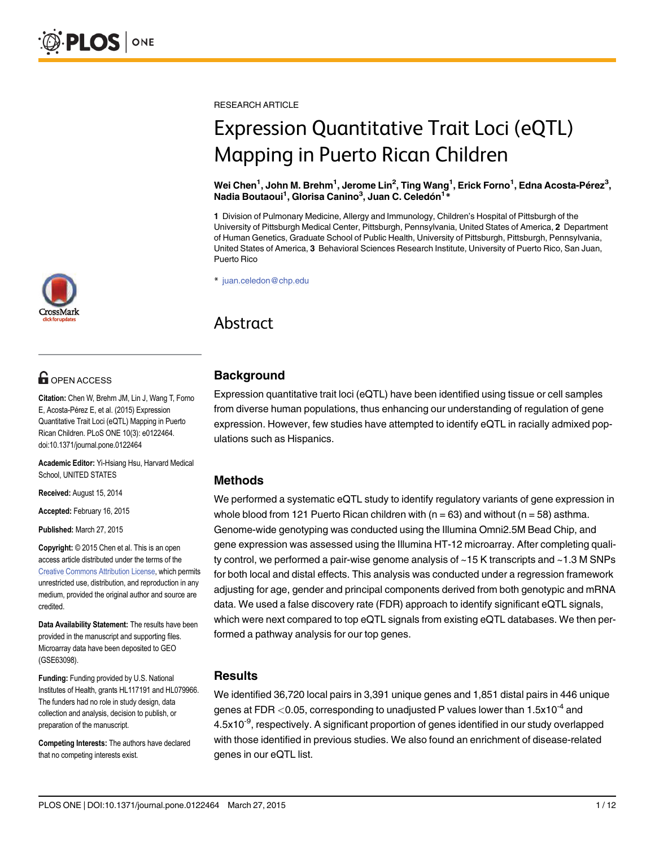RESEARCH ARTICLE

# Expression Quantitative Trait Loci (eQTL) Mapping in Puerto Rican Children

Wei Chen<sup>1</sup>, John M. Brehm<sup>1</sup>, Jerome Lin<sup>2</sup>, Ting Wang<sup>1</sup>, Erick Forno<sup>1</sup>, Edna Acosta-Pérez<sup>3</sup>, Nadia Boutaoui<sup>1</sup>, Glorisa Canino<sup>3</sup>, Juan C. Celedón<sup>1</sup>\*

1 Division of Pulmonary Medicine, Allergy and Immunology, Children's Hospital of Pittsburgh of the University of Pittsburgh Medical Center, Pittsburgh, Pennsylvania, United States of America, 2 Department of Human Genetics, Graduate School of Public Health, University of Pittsburgh, Pittsburgh, Pennsylvania, United States of America, 3 Behavioral Sciences Research Institute, University of Puerto Rico, San Juan, Puerto Rico

\* juan.celedon@chp.edu

# Abstract

#### **Background**

Expression quantitative trait loci (eQTL) have been identified using tissue or cell samples from diverse human populations, thus enhancing our understanding of regulation of gene expression. However, few studies have attempted to identify eQTL in racially admixed populations such as Hispanics.

#### Methods

We performed a systematic eQTL study to identify regulatory variants of gene expression in whole blood from 121 Puerto Rican children with  $(n = 63)$  and without  $(n = 58)$  asthma. Genome-wide genotyping was conducted using the Illumina Omni2.5M Bead Chip, and gene expression was assessed using the Illumina HT-12 microarray. After completing quality control, we performed a pair-wise genome analysis of ~15 K transcripts and ~1.3 M SNPs for both local and distal effects. This analysis was conducted under a regression framework adjusting for age, gender and principal components derived from both genotypic and mRNA data. We used a false discovery rate (FDR) approach to identify significant eQTL signals, which were next compared to top eQTL signals from existing eQTL databases. We then performed a pathway analysis for our top genes.

#### **Results**

We identified 36,720 local pairs in 3,391 unique genes and 1,851 distal pairs in 446 unique genes at FDR  $<$  0.05, corresponding to unadjusted P values lower than 1.5x10<sup>-4</sup> and 4.5x10<sup>-9</sup>, respectively. A significant proportion of genes identified in our study overlapped with those identified in previous studies. We also found an enrichment of disease-related genes in our eQTL list.



# **G** OPEN ACCESS

Citation: Chen W, Brehm JM, Lin J, Wang T, Forno E, Acosta-Pérez E, et al. (2015) Expression Quantitative Trait Loci (eQTL) Mapping in Puerto Rican Children. PLoS ONE 10(3): e0122464. doi:10.1371/journal.pone.0122464

Academic Editor: Yi-Hsiang Hsu, Harvard Medical School, UNITED STATES

Received: August 15, 2014

Accepted: February 16, 2015

Published: March 27, 2015

Copyright: © 2015 Chen et al. This is an open access article distributed under the terms of the [Creative Commons Attribution License,](http://creativecommons.org/licenses/by/4.0/) which permits unrestricted use, distribution, and reproduction in any medium, provided the original author and source are credited.

Data Availability Statement: The results have been provided in the manuscript and supporting files. Microarray data have been deposited to GEO (GSE63098).

Funding: Funding provided by U.S. National Institutes of Health, grants HL117191 and HL079966. The funders had no role in study design, data collection and analysis, decision to publish, or preparation of the manuscript.

Competing Interests: The authors have declared that no competing interests exist.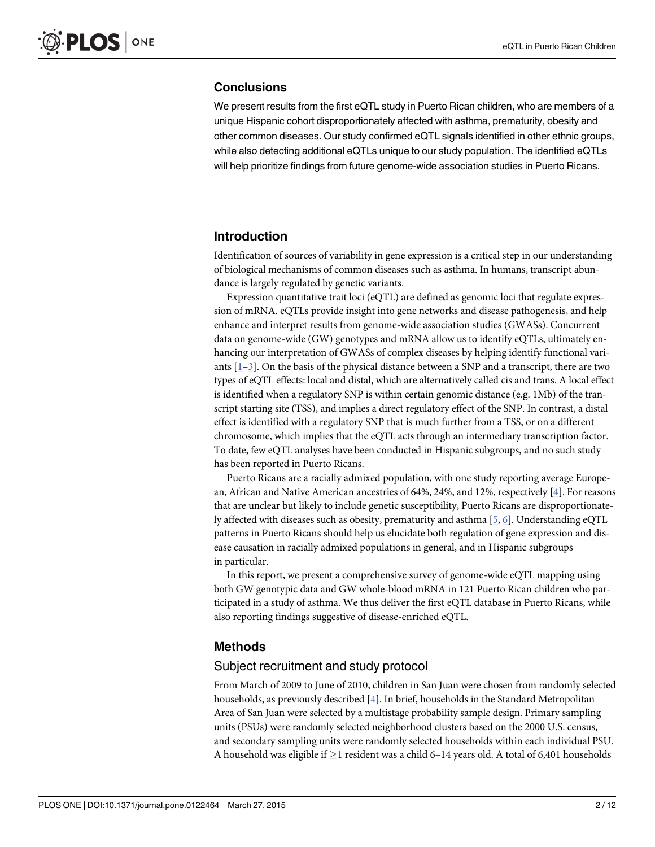#### <span id="page-1-0"></span>**Conclusions**

We present results from the first eQTL study in Puerto Rican children, who are members of a unique Hispanic cohort disproportionately affected with asthma, prematurity, obesity and other common diseases. Our study confirmed eQTL signals identified in other ethnic groups, while also detecting additional eQTLs unique to our study population. The identified eQTLs will help prioritize findings from future genome-wide association studies in Puerto Ricans.

### Introduction

Identification of sources of variability in gene expression is a critical step in our understanding of biological mechanisms of common diseases such as asthma. In humans, transcript abundance is largely regulated by genetic variants.

Expression quantitative trait loci (eQTL) are defined as genomic loci that regulate expression of mRNA. eQTLs provide insight into gene networks and disease pathogenesis, and help enhance and interpret results from genome-wide association studies (GWASs). Concurrent data on genome-wide (GW) genotypes and mRNA allow us to identify eQTLs, ultimately enhancing our interpretation of GWASs of complex diseases by helping identify functional variants  $[1-3]$  $[1-3]$  $[1-3]$ . On the basis of the physical distance between a SNP and a transcript, there are two types of eQTL effects: local and distal, which are alternatively called cis and trans. A local effect is identified when a regulatory SNP is within certain genomic distance (e.g. 1Mb) of the transcript starting site (TSS), and implies a direct regulatory effect of the SNP. In contrast, a distal effect is identified with a regulatory SNP that is much further from a TSS, or on a different chromosome, which implies that the eQTL acts through an intermediary transcription factor. To date, few eQTL analyses have been conducted in Hispanic subgroups, and no such study has been reported in Puerto Ricans.

Puerto Ricans are a racially admixed population, with one study reporting average European, African and Native American ancestries of 64%, 24%, and 12%, respectively [[4](#page-10-0)]. For reasons that are unclear but likely to include genetic susceptibility, Puerto Ricans are disproportionately affected with diseases such as obesity, prematurity and asthma [[5,](#page-10-0) [6\]](#page-10-0). Understanding eQTL patterns in Puerto Ricans should help us elucidate both regulation of gene expression and disease causation in racially admixed populations in general, and in Hispanic subgroups in particular.

In this report, we present a comprehensive survey of genome-wide eQTL mapping using both GW genotypic data and GW whole-blood mRNA in 121 Puerto Rican children who participated in a study of asthma. We thus deliver the first eQTL database in Puerto Ricans, while also reporting findings suggestive of disease-enriched eQTL.

#### Methods

#### Subject recruitment and study protocol

From March of 2009 to June of 2010, children in San Juan were chosen from randomly selected households, as previously described [[4](#page-10-0)]. In brief, households in the Standard Metropolitan Area of San Juan were selected by a multistage probability sample design. Primary sampling units (PSUs) were randomly selected neighborhood clusters based on the 2000 U.S. census, and secondary sampling units were randomly selected households within each individual PSU. A household was eligible if  $\geq$  1 resident was a child 6–14 years old. A total of 6,401 households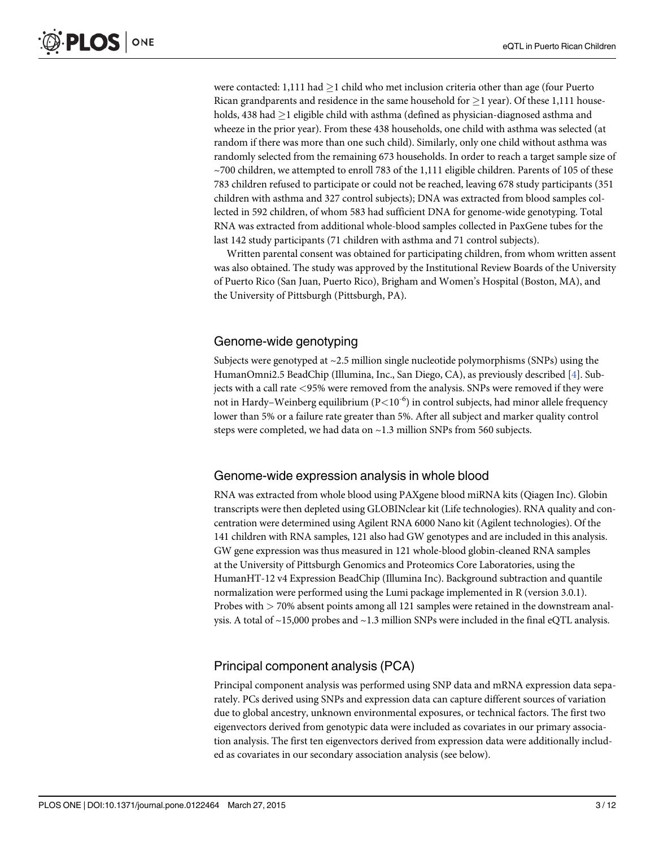were contacted: 1,111 had  $>$ 1 child who met inclusion criteria other than age (four Puerto Rican grandparents and residence in the same household for  $\geq$  1 year). Of these 1,111 households, 438 had  $\geq$ 1 eligible child with asthma (defined as physician-diagnosed asthma and wheeze in the prior year). From these 438 households, one child with asthma was selected (at random if there was more than one such child). Similarly, only one child without asthma was randomly selected from the remaining 673 households. In order to reach a target sample size of ~700 children, we attempted to enroll 783 of the 1,111 eligible children. Parents of 105 of these 783 children refused to participate or could not be reached, leaving 678 study participants (351 children with asthma and 327 control subjects); DNA was extracted from blood samples collected in 592 children, of whom 583 had sufficient DNA for genome-wide genotyping. Total RNA was extracted from additional whole-blood samples collected in PaxGene tubes for the last 142 study participants (71 children with asthma and 71 control subjects).

Written parental consent was obtained for participating children, from whom written assent was also obtained. The study was approved by the Institutional Review Boards of the University of Puerto Rico (San Juan, Puerto Rico), Brigham and Women's Hospital (Boston, MA), and the University of Pittsburgh (Pittsburgh, PA).

#### Genome-wide genotyping

Subjects were genotyped at  $\sim$  2.5 million single nucleotide polymorphisms (SNPs) using the HumanOmni2.5 BeadChip (Illumina, Inc., San Diego, CA), as previously described [\[4](#page-10-0)]. Subjects with a call rate <95% were removed from the analysis. SNPs were removed if they were not in Hardy–Weinberg equilibrium ( $P < 10^{-6}$ ) in control subjects, had minor allele frequency lower than 5% or a failure rate greater than 5%. After all subject and marker quality control steps were completed, we had data on ~1.3 million SNPs from 560 subjects.

#### Genome-wide expression analysis in whole blood

RNA was extracted from whole blood using PAXgene blood miRNA kits (Qiagen Inc). Globin transcripts were then depleted using GLOBINclear kit (Life technologies). RNA quality and concentration were determined using Agilent RNA 6000 Nano kit (Agilent technologies). Of the 141 children with RNA samples, 121 also had GW genotypes and are included in this analysis. GW gene expression was thus measured in 121 whole-blood globin-cleaned RNA samples at the University of Pittsburgh Genomics and Proteomics Core Laboratories, using the HumanHT-12 v4 Expression BeadChip (Illumina Inc). Background subtraction and quantile normalization were performed using the Lumi package implemented in R (version 3.0.1). Probes with > 70% absent points among all 121 samples were retained in the downstream analysis. A total of  $\sim$ 15,000 probes and  $\sim$ 1.3 million SNPs were included in the final eQTL analysis.

## Principal component analysis (PCA)

Principal component analysis was performed using SNP data and mRNA expression data separately. PCs derived using SNPs and expression data can capture different sources of variation due to global ancestry, unknown environmental exposures, or technical factors. The first two eigenvectors derived from genotypic data were included as covariates in our primary association analysis. The first ten eigenvectors derived from expression data were additionally included as covariates in our secondary association analysis (see below).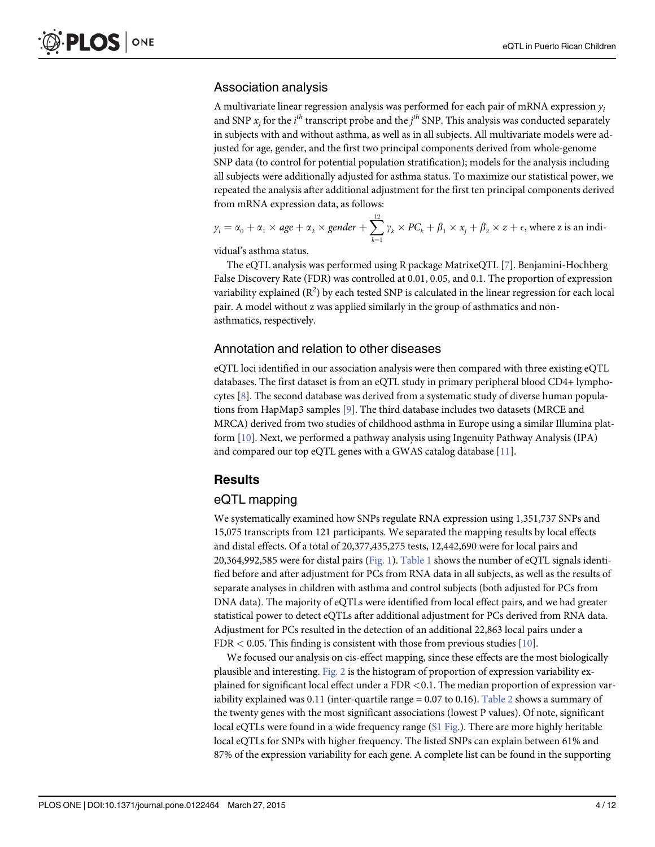#### <span id="page-3-0"></span>Association analysis

A multivariate linear regression analysis was performed for each pair of mRNA expression  $y_i$ and SNP  $x_j$  for the  $i^{th}$  transcript probe and the  $j^{th}$  SNP. This analysis was conducted separately in subjects with and without asthma, as well as in all subjects. All multivariate models were adjusted for age, gender, and the first two principal components derived from whole-genome SNP data (to control for potential population stratification); models for the analysis including all subjects were additionally adjusted for asthma status. To maximize our statistical power, we repeated the analysis after additional adjustment for the first ten principal components derived from mRNA expression data, as follows:

$$
y_i = \alpha_0 + \alpha_1 \times age + \alpha_2 \times gender + \sum_{k=1}^{12} \gamma_k \times PC_k + \beta_1 \times x_j + \beta_2 \times z + \epsilon
$$
, where z is an indi-

vidual's asthma status.

The eQTL analysis was performed using R package MatrixeQTL [[7\]](#page-10-0). Benjamini-Hochberg False Discovery Rate (FDR) was controlled at 0.01, 0.05, and 0.1. The proportion of expression variability explained  $(R^2)$  by each tested SNP is calculated in the linear regression for each local pair. A model without z was applied similarly in the group of asthmatics and nonasthmatics, respectively.

#### Annotation and relation to other diseases

eQTL loci identified in our association analysis were then compared with three existing eQTL databases. The first dataset is from an eQTL study in primary peripheral blood CD4+ lymphocytes  $[8]$  $[8]$ . The second database was derived from a systematic study of diverse human populations from HapMap3 samples [[9\]](#page-10-0). The third database includes two datasets (MRCE and MRCA) derived from two studies of childhood asthma in Europe using a similar Illumina platform [\[10\]](#page-10-0). Next, we performed a pathway analysis using Ingenuity Pathway Analysis (IPA) and compared our top eQTL genes with a GWAS catalog database  $[11]$  $[11]$ .

## Results

#### eQTL mapping

We systematically examined how SNPs regulate RNA expression using 1,351,737 SNPs and 15,075 transcripts from 121 participants. We separated the mapping results by local effects and distal effects. Of a total of 20,377,435,275 tests, 12,442,690 were for local pairs and 20,364,992,585 were for distal pairs ( $Fig. 1$ ). [Table 1](#page-5-0) shows the number of eQTL signals identified before and after adjustment for PCs from RNA data in all subjects, as well as the results of separate analyses in children with asthma and control subjects (both adjusted for PCs from DNA data). The majority of eQTLs were identified from local effect pairs, and we had greater statistical power to detect eQTLs after additional adjustment for PCs derived from RNA data. Adjustment for PCs resulted in the detection of an additional 22,863 local pairs under a FDR  $<$  0.05. This finding is consistent with those from previous studies [\[10\]](#page-10-0).

We focused our analysis on cis-effect mapping, since these effects are the most biologically plausible and interesting. [Fig. 2](#page-6-0) is the histogram of proportion of expression variability explained for significant local effect under a FDR <0.1. The median proportion of expression var-iability explained was 0.11 (inter-quartile range = 0.07 to 0.16). [Table 2](#page-7-0) shows a summary of the twenty genes with the most significant associations (lowest P values). Of note, significant local eQTLs were found in a wide frequency range ([S1 Fig.](#page-9-0)). There are more highly heritable local eQTLs for SNPs with higher frequency. The listed SNPs can explain between 61% and 87% of the expression variability for each gene. A complete list can be found in the supporting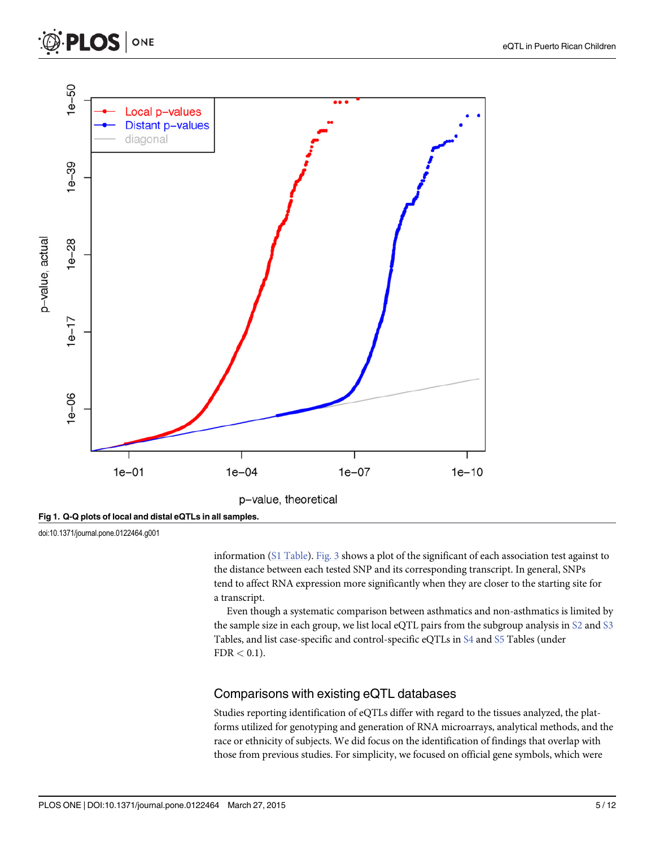<span id="page-4-0"></span>



[Fig 1. Q](#page-3-0)-Q plots of local and distal eQTLs in all samples.

doi:10.1371/journal.pone.0122464.g001

information ([S1 Table\)](#page-9-0). [Fig. 3](#page-8-0) shows a plot of the significant of each association test against to the distance between each tested SNP and its corresponding transcript. In general, SNPs tend to affect RNA expression more significantly when they are closer to the starting site for a transcript.

Even though a systematic comparison between asthmatics and non-asthmatics is limited by the sample size in each group, we list local eQTL pairs from the subgroup analysis in  $\Sigma$  and  $\Sigma$ Tables, and list case-specific and control-specific eQTLs in [S4](#page-9-0) and [S5](#page-9-0) Tables (under  $FDR < 0.1$ ).

#### Comparisons with existing eQTL databases

Studies reporting identification of eQTLs differ with regard to the tissues analyzed, the platforms utilized for genotyping and generation of RNA microarrays, analytical methods, and the race or ethnicity of subjects. We did focus on the identification of findings that overlap with those from previous studies. For simplicity, we focused on official gene symbols, which were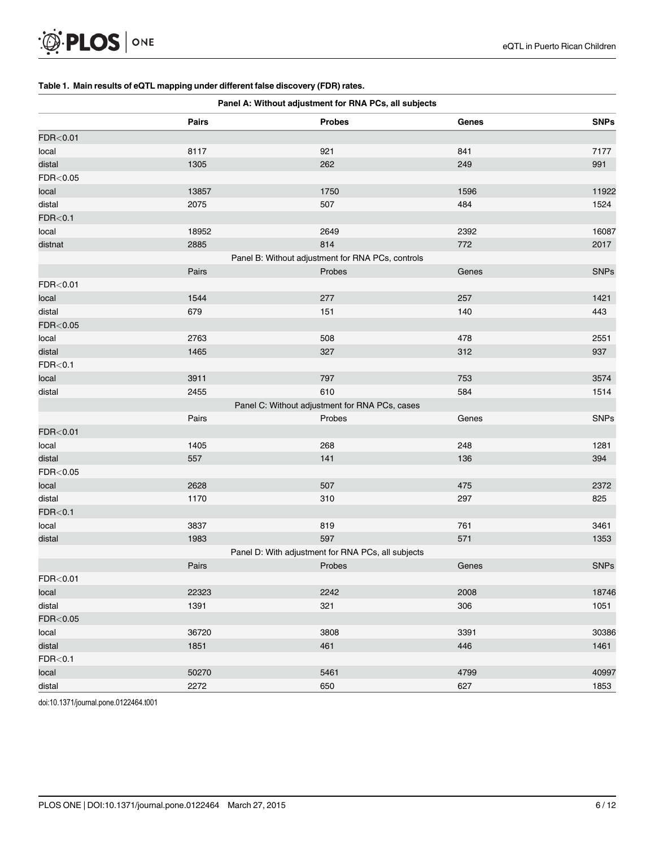<span id="page-5-0"></span>

#### [Table 1.](#page-3-0) Main results of eQTL mapping under different false discovery (FDR) rates.

| Panel A: Without adjustment for RNA PCs, all subjects |       |                                                    |       |             |  |  |  |
|-------------------------------------------------------|-------|----------------------------------------------------|-------|-------------|--|--|--|
|                                                       | Pairs | <b>Probes</b>                                      | Genes | <b>SNPs</b> |  |  |  |
| FDR<0.01                                              |       |                                                    |       |             |  |  |  |
| local                                                 | 8117  | 921                                                | 841   | 7177        |  |  |  |
| distal                                                | 1305  | 262                                                | 249   | 991         |  |  |  |
| FDR<0.05                                              |       |                                                    |       |             |  |  |  |
| local                                                 | 13857 | 1750                                               | 1596  | 11922       |  |  |  |
| distal                                                | 2075  | 507                                                | 484   | 1524        |  |  |  |
| FDR<0.1                                               |       |                                                    |       |             |  |  |  |
| local                                                 | 18952 | 2649                                               | 2392  | 16087       |  |  |  |
| distnat                                               | 2885  | 814                                                | 772   | 2017        |  |  |  |
|                                                       |       | Panel B: Without adjustment for RNA PCs, controls  |       |             |  |  |  |
|                                                       | Pairs | Probes                                             | Genes | <b>SNPs</b> |  |  |  |
| FDR<0.01                                              |       |                                                    |       |             |  |  |  |
| local                                                 | 1544  | 277                                                | 257   | 1421        |  |  |  |
| distal                                                | 679   | 151                                                | 140   | 443         |  |  |  |
| FDR<0.05                                              |       |                                                    |       |             |  |  |  |
| local                                                 | 2763  | 508                                                | 478   | 2551        |  |  |  |
| distal                                                | 1465  | 327                                                | 312   | 937         |  |  |  |
| FDR<0.1                                               |       |                                                    |       |             |  |  |  |
| local                                                 | 3911  | 797                                                | 753   | 3574        |  |  |  |
| distal                                                | 2455  | 610                                                | 584   | 1514        |  |  |  |
|                                                       |       | Panel C: Without adjustment for RNA PCs, cases     |       |             |  |  |  |
|                                                       | Pairs | Probes                                             | Genes | <b>SNPs</b> |  |  |  |
| FDR<0.01                                              |       |                                                    |       |             |  |  |  |
| local                                                 | 1405  | 268                                                | 248   | 1281        |  |  |  |
| distal                                                | 557   | 141                                                | 136   | 394         |  |  |  |
| FDR<0.05                                              |       |                                                    |       |             |  |  |  |
| local                                                 | 2628  | 507                                                | 475   | 2372        |  |  |  |
| distal                                                | 1170  | 310                                                | 297   | 825         |  |  |  |
| FDR<0.1                                               |       |                                                    |       |             |  |  |  |
| local                                                 | 3837  | 819                                                | 761   | 3461        |  |  |  |
| distal                                                | 1983  | 597                                                | 571   | 1353        |  |  |  |
|                                                       |       | Panel D: With adjustment for RNA PCs, all subjects |       |             |  |  |  |
|                                                       | Pairs | Probes                                             | Genes | <b>SNPs</b> |  |  |  |
| FDR<0.01                                              |       |                                                    |       |             |  |  |  |
| local                                                 | 22323 | 2242                                               | 2008  | 18746       |  |  |  |
| distal                                                | 1391  | 321                                                | 306   | 1051        |  |  |  |
| FDR<0.05                                              |       |                                                    |       |             |  |  |  |
| local                                                 | 36720 | 3808                                               | 3391  | 30386       |  |  |  |
| distal                                                | 1851  | 461                                                | 446   | 1461        |  |  |  |
| FDR<0.1                                               |       |                                                    |       |             |  |  |  |
| local                                                 | 50270 | 5461                                               | 4799  | 40997       |  |  |  |
| distal                                                | 2272  | 650                                                | 627   | 1853        |  |  |  |

doi:10.1371/journal.pone.0122464.t001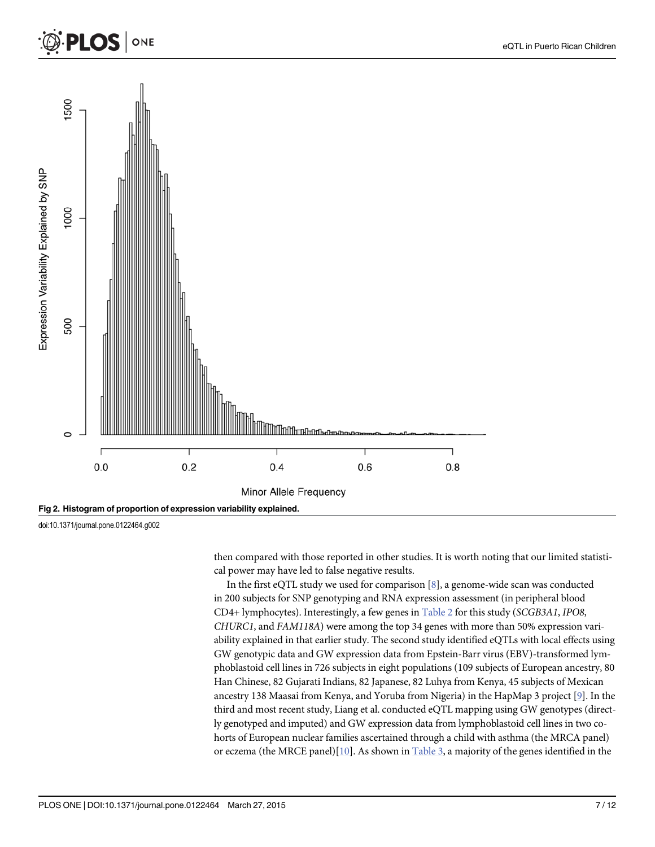<span id="page-6-0"></span>

doi:10.1371/journal.pone.0122464.g002

then compared with those reported in other studies. It is worth noting that our limited statistical power may have led to false negative results.

In the first eQTL study we used for comparison [\[8\]](#page-10-0), a genome-wide scan was conducted in 200 subjects for SNP genotyping and RNA expression assessment (in peripheral blood CD4+ lymphocytes). Interestingly, a few genes in [Table 2](#page-7-0) for this study (SCGB3A1, IPO8, CHURC1, and FAM118A) were among the top 34 genes with more than 50% expression variability explained in that earlier study. The second study identified eQTLs with local effects using GW genotypic data and GW expression data from Epstein-Barr virus (EBV)-transformed lymphoblastoid cell lines in 726 subjects in eight populations (109 subjects of European ancestry, 80 Han Chinese, 82 Gujarati Indians, 82 Japanese, 82 Luhya from Kenya, 45 subjects of Mexican ancestry 138 Maasai from Kenya, and Yoruba from Nigeria) in the HapMap 3 project [\[9](#page-10-0)]. In the third and most recent study, Liang et al. conducted eQTL mapping using GW genotypes (directly genotyped and imputed) and GW expression data from lymphoblastoid cell lines in two cohorts of European nuclear families ascertained through a child with asthma (the MRCA panel) or eczema (the MRCE panel) $[10]$ . As shown in [Table 3](#page-9-0), a majority of the genes identified in the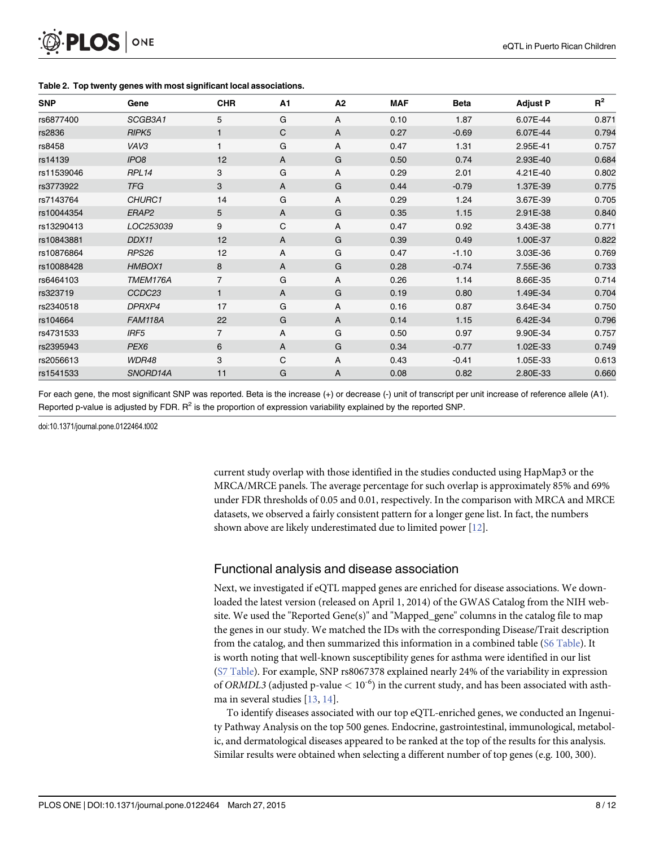<span id="page-7-0"></span>

| <b>SNP</b> | Gene               | <b>CHR</b>     | A <sub>1</sub> | A2 | <b>MAF</b> | <b>Beta</b> | <b>Adjust P</b> | $R^2$ |
|------------|--------------------|----------------|----------------|----|------------|-------------|-----------------|-------|
| rs6877400  | SCGB3A1            | 5              | G              | A  | 0.10       | 1.87        | 6.07E-44        | 0.871 |
| rs2836     | RIPK <sub>5</sub>  | $\mathbf{1}$   | C              | A  | 0.27       | $-0.69$     | 6.07E-44        | 0.794 |
| rs8458     | VAV3               |                | G              | Α  | 0.47       | 1.31        | 2.95E-41        | 0.757 |
| rs14139    | IPO <sub>8</sub>   | 12             | A              | G  | 0.50       | 0.74        | 2.93E-40        | 0.684 |
| rs11539046 | RPL14              | 3              | G              | Α  | 0.29       | 2.01        | 4.21E-40        | 0.802 |
| rs3773922  | <b>TFG</b>         | 3              | A              | G  | 0.44       | $-0.79$     | 1.37E-39        | 0.775 |
| rs7143764  | CHURC1             | 14             | G              | A  | 0.29       | 1.24        | 3.67E-39        | 0.705 |
| rs10044354 | ERAP2              | 5              | A              | G  | 0.35       | 1.15        | 2.91E-38        | 0.840 |
| rs13290413 | LOC253039          | 9              | C              | A  | 0.47       | 0.92        | 3.43E-38        | 0.771 |
| rs10843881 | DDX11              | 12             | A              | G  | 0.39       | 0.49        | 1.00E-37        | 0.822 |
| rs10876864 | RPS26              | 12             | A              | G  | 0.47       | $-1.10$     | 3.03E-36        | 0.769 |
| rs10088428 | HMBOX1             | 8              | A              | G  | 0.28       | $-0.74$     | 7.55E-36        | 0.733 |
| rs6464103  | TMEM176A           | $\overline{7}$ | G              | A  | 0.26       | 1.14        | 8.66E-35        | 0.714 |
| rs323719   | CCDC <sub>23</sub> | $\mathbf{1}$   | A              | G  | 0.19       | 0.80        | 1.49E-34        | 0.704 |
| rs2340518  | DPRXP4             | 17             | G              | Α  | 0.16       | 0.87        | 3.64E-34        | 0.750 |
| rs104664   | <b>FAM118A</b>     | 22             | G              | A  | 0.14       | 1.15        | 6.42E-34        | 0.796 |
| rs4731533  | IRF <sub>5</sub>   | $\overline{7}$ | Α              | G  | 0.50       | 0.97        | 9.90E-34        | 0.757 |
| rs2395943  | PEX <sub>6</sub>   | 6              | A              | G  | 0.34       | $-0.77$     | 1.02E-33        | 0.749 |
| rs2056613  | WDR48              | 3              | C              | A  | 0.43       | $-0.41$     | 1.05E-33        | 0.613 |
| rs1541533  | SNORD14A           | 11             | G              | A  | 0.08       | 0.82        | 2.80E-33        | 0.660 |

[Table 2.](#page-3-0) Top twenty genes with most significant local associations.

For each gene, the most significant SNP was reported. Beta is the increase (+) or decrease (-) unit of transcript per unit increase of reference allele (A1). Reported p-value is adjusted by FDR.  $R^2$  is the proportion of expression variability explained by the reported SNP.

doi:10.1371/journal.pone.0122464.t002

current study overlap with those identified in the studies conducted using HapMap3 or the MRCA/MRCE panels. The average percentage for such overlap is approximately 85% and 69% under FDR thresholds of 0.05 and 0.01, respectively. In the comparison with MRCA and MRCE datasets, we observed a fairly consistent pattern for a longer gene list. In fact, the numbers shown above are likely underestimated due to limited power  $[12]$ .

#### Functional analysis and disease association

Next, we investigated if eQTL mapped genes are enriched for disease associations. We downloaded the latest version (released on April 1, 2014) of the GWAS Catalog from the NIH website. We used the "Reported Gene(s)" and "Mapped\_gene" columns in the catalog file to map the genes in our study. We matched the IDs with the corresponding Disease/Trait description from the catalog, and then summarized this information in a combined table ([S6 Table](#page-10-0)). It is worth noting that well-known susceptibility genes for asthma were identified in our list [\(S7 Table](#page-10-0)). For example, SNP rs8067378 explained nearly 24% of the variability in expression of ORMDL3 (adjusted p-value  $< 10^{-6}$ ) in the current study, and has been associated with asthma in several studies [\[13](#page-11-0), [14](#page-11-0)].

To identify diseases associated with our top eQTL-enriched genes, we conducted an Ingenuity Pathway Analysis on the top 500 genes. Endocrine, gastrointestinal, immunological, metabolic, and dermatological diseases appeared to be ranked at the top of the results for this analysis. Similar results were obtained when selecting a different number of top genes (e.g. 100, 300).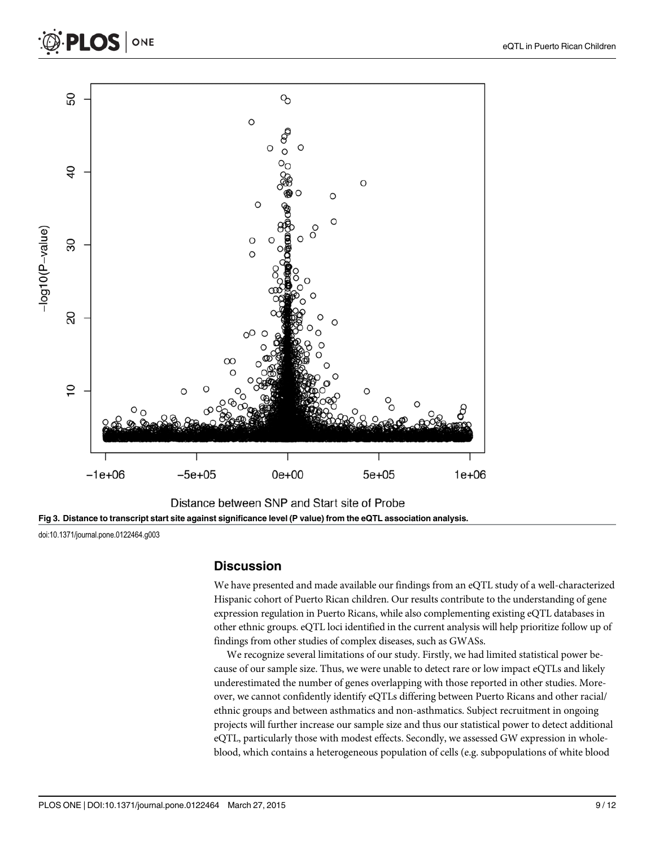<span id="page-8-0"></span>





doi:10.1371/journal.pone.0122464.g003

#### **Discussion**

We have presented and made available our findings from an eQTL study of a well-characterized Hispanic cohort of Puerto Rican children. Our results contribute to the understanding of gene expression regulation in Puerto Ricans, while also complementing existing eQTL databases in other ethnic groups. eQTL loci identified in the current analysis will help prioritize follow up of findings from other studies of complex diseases, such as GWASs.

We recognize several limitations of our study. Firstly, we had limited statistical power because of our sample size. Thus, we were unable to detect rare or low impact eQTLs and likely underestimated the number of genes overlapping with those reported in other studies. Moreover, we cannot confidently identify eQTLs differing between Puerto Ricans and other racial/ ethnic groups and between asthmatics and non-asthmatics. Subject recruitment in ongoing projects will further increase our sample size and thus our statistical power to detect additional eQTL, particularly those with modest effects. Secondly, we assessed GW expression in wholeblood, which contains a heterogeneous population of cells (e.g. subpopulations of white blood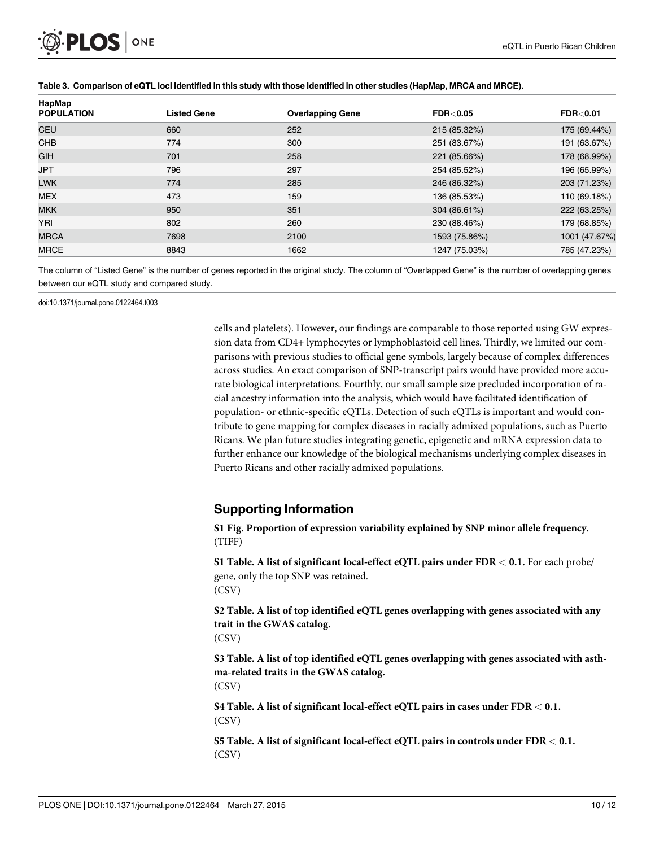<span id="page-9-0"></span>

| HapMap<br><b>POPULATION</b> | <b>Listed Gene</b> | <b>Overlapping Gene</b> | <b>FDR&lt;0.05</b> | <b>FDR&lt;0.01</b> |
|-----------------------------|--------------------|-------------------------|--------------------|--------------------|
| <b>CEU</b>                  | 660                | 252                     | 215 (85.32%)       | 175 (69.44%)       |
| <b>CHB</b>                  | 774                | 300                     | 251 (83.67%)       | 191 (63.67%)       |
| <b>GIH</b>                  | 701                | 258                     | 221 (85.66%)       | 178 (68.99%)       |
| <b>JPT</b>                  | 796                | 297                     | 254 (85.52%)       | 196 (65.99%)       |
| <b>LWK</b>                  | 774                | 285                     | 246 (86.32%)       | 203 (71.23%)       |
| <b>MEX</b>                  | 473                | 159                     | 136 (85.53%)       | 110 (69.18%)       |
| <b>MKK</b>                  | 950                | 351                     | 304 (86.61%)       | 222 (63.25%)       |
| YRI                         | 802                | 260                     | 230 (88.46%)       | 179 (68.85%)       |
| <b>MRCA</b>                 | 7698               | 2100                    | 1593 (75.86%)      | 1001 (47.67%)      |
| <b>MRCE</b>                 | 8843               | 1662                    | 1247 (75.03%)      | 785 (47.23%)       |

#### [Table 3.](#page-6-0) Comparison of eQTL loci identified in this study with those identified in other studies (HapMap, MRCA and MRCE).

The column of "Listed Gene" is the number of genes reported in the original study. The column of "Overlapped Gene" is the number of overlapping genes between our eQTL study and compared study.

doi:10.1371/journal.pone.0122464.t003

cells and platelets). However, our findings are comparable to those reported using GW expression data from CD4+ lymphocytes or lymphoblastoid cell lines. Thirdly, we limited our comparisons with previous studies to official gene symbols, largely because of complex differences across studies. An exact comparison of SNP-transcript pairs would have provided more accurate biological interpretations. Fourthly, our small sample size precluded incorporation of racial ancestry information into the analysis, which would have facilitated identification of population- or ethnic-specific eQTLs. Detection of such eQTLs is important and would contribute to gene mapping for complex diseases in racially admixed populations, such as Puerto Ricans. We plan future studies integrating genetic, epigenetic and mRNA expression data to further enhance our knowledge of the biological mechanisms underlying complex diseases in Puerto Ricans and other racially admixed populations.

#### Supporting Information

[S1 Fig.](http://www.plosone.org/article/fetchSingleRepresentation.action?uri=info:doi/10.1371/journal.pone.0122464.s001) Proportion of expression variability explained by SNP minor allele frequency. (TIFF)

[S1 Table](http://www.plosone.org/article/fetchSingleRepresentation.action?uri=info:doi/10.1371/journal.pone.0122464.s002). A list of significant local-effect eQTL pairs under FDR < 0.1. For each probe/ gene, only the top SNP was retained. (CSV)

[S2 Table](http://www.plosone.org/article/fetchSingleRepresentation.action?uri=info:doi/10.1371/journal.pone.0122464.s003). A list of top identified eQTL genes overlapping with genes associated with any trait in the GWAS catalog.

(CSV)

[S3 Table](http://www.plosone.org/article/fetchSingleRepresentation.action?uri=info:doi/10.1371/journal.pone.0122464.s004). A list of top identified eQTL genes overlapping with genes associated with asthma-related traits in the GWAS catalog.

(CSV)

[S4 Table](http://www.plosone.org/article/fetchSingleRepresentation.action?uri=info:doi/10.1371/journal.pone.0122464.s005). A list of significant local-effect eQTL pairs in cases under FDR < 0.1. (CSV)

[S5 Table](http://www.plosone.org/article/fetchSingleRepresentation.action?uri=info:doi/10.1371/journal.pone.0122464.s006). A list of significant local-effect eQTL pairs in controls under FDR < 0.1. (CSV)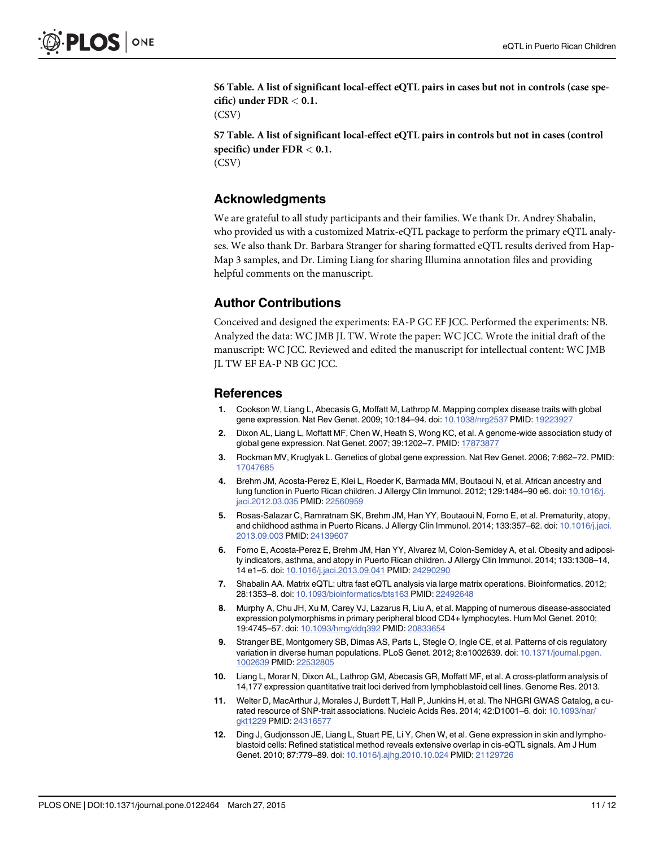<span id="page-10-0"></span>[S6 Table](http://www.plosone.org/article/fetchSingleRepresentation.action?uri=info:doi/10.1371/journal.pone.0122464.s007). A list of significant local-effect eQTL pairs in cases but not in controls (case specific) under FDR < 0.1.

(CSV)

[S7 Table](http://www.plosone.org/article/fetchSingleRepresentation.action?uri=info:doi/10.1371/journal.pone.0122464.s008). A list of significant local-effect eQTL pairs in controls but not in cases (control specific) under  $FDR < 0.1$ . (CSV)

#### Acknowledgments

We are grateful to all study participants and their families. We thank Dr. Andrey Shabalin, who provided us with a customized Matrix-eQTL package to perform the primary eQTL analyses. We also thank Dr. Barbara Stranger for sharing formatted eQTL results derived from Hap-Map 3 samples, and Dr. Liming Liang for sharing Illumina annotation files and providing helpful comments on the manuscript.

#### Author Contributions

Conceived and designed the experiments: EA-P GC EF JCC. Performed the experiments: NB. Analyzed the data: WC JMB JL TW. Wrote the paper: WC JCC. Wrote the initial draft of the manuscript: WC JCC. Reviewed and edited the manuscript for intellectual content: WC JMB JL TW EF EA-P NB GC JCC.

#### **References**

- [1.](#page-1-0) Cookson W, Liang L, Abecasis G, Moffatt M, Lathrop M. Mapping complex disease traits with global gene expression. Nat Rev Genet. 2009; 10:184–94. doi: [10.1038/nrg2537](http://dx.doi.org/10.1038/nrg2537) PMID: [19223927](http://www.ncbi.nlm.nih.gov/pubmed/19223927)
- 2. Dixon AL, Liang L, Moffatt MF, Chen W, Heath S, Wong KC, et al. A genome-wide association study of global gene expression. Nat Genet. 2007; 39:1202–7. PMID: [17873877](http://www.ncbi.nlm.nih.gov/pubmed/17873877)
- [3.](#page-1-0) Rockman MV, Kruglyak L. Genetics of global gene expression. Nat Rev Genet. 2006; 7:862–72. PMID: [17047685](http://www.ncbi.nlm.nih.gov/pubmed/17047685)
- [4.](#page-1-0) Brehm JM, Acosta-Perez E, Klei L, Roeder K, Barmada MM, Boutaoui N, et al. African ancestry and lung function in Puerto Rican children. J Allergy Clin Immunol. 2012; 129:1484-90 e6. doi: [10.1016/j.](http://dx.doi.org/10.1016/j.jaci.2012.03.035) [jaci.2012.03.035](http://dx.doi.org/10.1016/j.jaci.2012.03.035) PMID: [22560959](http://www.ncbi.nlm.nih.gov/pubmed/22560959)
- [5.](#page-1-0) Rosas-Salazar C, Ramratnam SK, Brehm JM, Han YY, Boutaoui N, Forno E, et al. Prematurity, atopy, and childhood asthma in Puerto Ricans. J Allergy Clin Immunol. 2014; 133:357-62. doi: [10.1016/j.jaci.](http://dx.doi.org/10.1016/j.jaci.2013.09.003) [2013.09.003](http://dx.doi.org/10.1016/j.jaci.2013.09.003) PMID: [24139607](http://www.ncbi.nlm.nih.gov/pubmed/24139607)
- [6.](#page-1-0) Forno E, Acosta-Perez E, Brehm JM, Han YY, Alvarez M, Colon-Semidey A, et al. Obesity and adiposity indicators, asthma, and atopy in Puerto Rican children. J Allergy Clin Immunol. 2014; 133:1308–14, 14 e1–5. doi: [10.1016/j.jaci.2013.09.041](http://dx.doi.org/10.1016/j.jaci.2013.09.041) PMID: [24290290](http://www.ncbi.nlm.nih.gov/pubmed/24290290)
- [7.](#page-3-0) Shabalin AA. Matrix eQTL: ultra fast eQTL analysis via large matrix operations. Bioinformatics. 2012; 28:1353–8. doi: [10.1093/bioinformatics/bts163](http://dx.doi.org/10.1093/bioinformatics/bts163) PMID: [22492648](http://www.ncbi.nlm.nih.gov/pubmed/22492648)
- [8.](#page-3-0) Murphy A, Chu JH, Xu M, Carey VJ, Lazarus R, Liu A, et al. Mapping of numerous disease-associated expression polymorphisms in primary peripheral blood CD4+ lymphocytes. Hum Mol Genet. 2010; 19:4745–57. doi: [10.1093/hmg/ddq392](http://dx.doi.org/10.1093/hmg/ddq392) PMID: [20833654](http://www.ncbi.nlm.nih.gov/pubmed/20833654)
- [9.](#page-3-0) Stranger BE, Montgomery SB, Dimas AS, Parts L, Stegle O, Ingle CE, et al. Patterns of cis regulatory variation in diverse human populations. PLoS Genet. 2012; 8:e1002639. doi: [10.1371/journal.pgen.](http://dx.doi.org/10.1371/journal.pgen.1002639) [1002639](http://dx.doi.org/10.1371/journal.pgen.1002639) PMID: [22532805](http://www.ncbi.nlm.nih.gov/pubmed/22532805)
- [10.](#page-3-0) Liang L, Morar N, Dixon AL, Lathrop GM, Abecasis GR, Moffatt MF, et al. A cross-platform analysis of 14,177 expression quantitative trait loci derived from lymphoblastoid cell lines. Genome Res. 2013.
- [11.](#page-3-0) Welter D, MacArthur J, Morales J, Burdett T, Hall P, Junkins H, et al. The NHGRI GWAS Catalog, a curated resource of SNP-trait associations. Nucleic Acids Res. 2014; 42:D1001–6. doi: [10.1093/nar/](http://dx.doi.org/10.1093/nar/gkt1229) [gkt1229](http://dx.doi.org/10.1093/nar/gkt1229) PMID: [24316577](http://www.ncbi.nlm.nih.gov/pubmed/24316577)
- [12.](#page-7-0) Ding J, Gudjonsson JE, Liang L, Stuart PE, Li Y, Chen W, et al. Gene expression in skin and lymphoblastoid cells: Refined statistical method reveals extensive overlap in cis-eQTL signals. Am J Hum Genet. 2010; 87:779–89. doi: [10.1016/j.ajhg.2010.10.024](http://dx.doi.org/10.1016/j.ajhg.2010.10.024) PMID: [21129726](http://www.ncbi.nlm.nih.gov/pubmed/21129726)